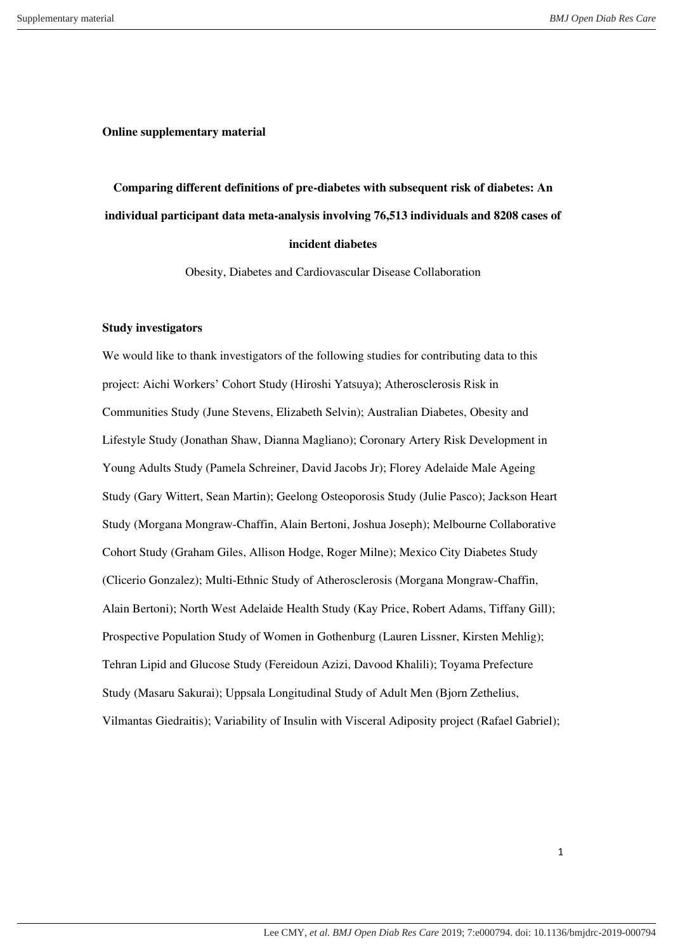**Online supplementary material** 

**Comparing different definitions of pre-diabetes with subsequent risk of diabetes: An individual participant data meta-analysis involving 76,513 individuals and 8208 cases of incident diabetes** 

Obesity, Diabetes and Cardiovascular Disease Collaboration

### **Study investigators**

We would like to thank investigators of the following studies for contributing data to this project: Aichi Workers' Cohort Study (Hiroshi Yatsuya); Atherosclerosis Risk in Communities Study (June Stevens, Elizabeth Selvin); Australian Diabetes, Obesity and Lifestyle Study (Jonathan Shaw, Dianna Magliano); Coronary Artery Risk Development in Young Adults Study (Pamela Schreiner, David Jacobs Jr); Florey Adelaide Male Ageing Study (Gary Wittert, Sean Martin); Geelong Osteoporosis Study (Julie Pasco); Jackson Heart Study (Morgana Mongraw-Chaffin, Alain Bertoni, Joshua Joseph); Melbourne Collaborative Cohort Study (Graham Giles, Allison Hodge, Roger Milne); Mexico City Diabetes Study (Clicerio Gonzalez); Multi-Ethnic Study of Atherosclerosis (Morgana Mongraw-Chaffin, Alain Bertoni); North West Adelaide Health Study (Kay Price, Robert Adams, Tiffany Gill); Prospective Population Study of Women in Gothenburg (Lauren Lissner, Kirsten Mehlig); Tehran Lipid and Glucose Study (Fereidoun Azizi, Davood Khalili); Toyama Prefecture Study (Masaru Sakurai); Uppsala Longitudinal Study of Adult Men (Bjorn Zethelius, Vilmantas Giedraitis); Variability of Insulin with Visceral Adiposity project (Rafael Gabriel);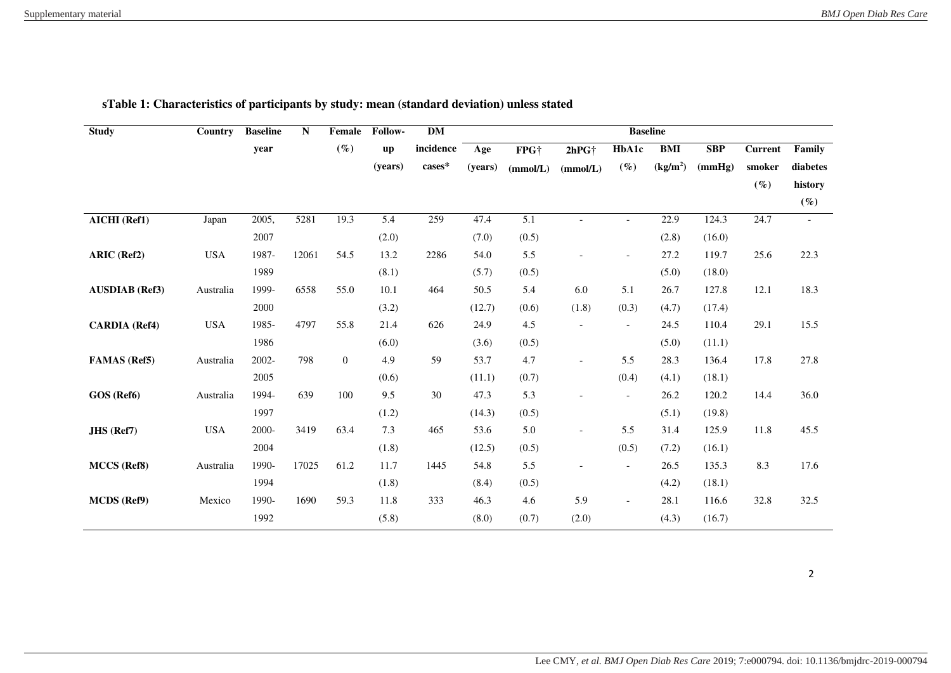| <b>Study</b>          | Country    | <b>Baseline</b> | N     | Female         | Follow-                | <b>DM</b>        |         |                  |                          | <b>Baseline</b>          |                      |            |                |          |
|-----------------------|------------|-----------------|-------|----------------|------------------------|------------------|---------|------------------|--------------------------|--------------------------|----------------------|------------|----------------|----------|
|                       |            | year            |       | $(\%)$         | $\mathbf{u}\mathbf{p}$ | incidence        | Age     | FPG <sup>+</sup> | 2hPG <sup>+</sup>        | HbA1c                    | BMI                  | <b>SBP</b> | <b>Current</b> | Family   |
|                       |            |                 |       |                | (years)                | $\mbox{cases}^*$ | (years) | (mmol/L)         | (mmol/L)                 | $(\%)$                   | (kg/m <sup>2</sup> ) | (mmHg)     | smoker         | diabetes |
|                       |            |                 |       |                |                        |                  |         |                  |                          |                          |                      |            | $(\%)$         | history  |
|                       |            |                 |       |                |                        |                  |         |                  |                          |                          |                      |            |                | $(\%)$   |
| AICHI (Ref1)          | Japan      | 2005,           | 5281  | 19.3           | 5.4                    | 259              | 47.4    | 5.1              | $\overline{\phantom{a}}$ | $\overline{\phantom{a}}$ | 22.9                 | 124.3      | 24.7           | $\sim$   |
|                       |            | 2007            |       |                | (2.0)                  |                  | (7.0)   | (0.5)            |                          |                          | (2.8)                | (16.0)     |                |          |
| ARIC (Ref2)           | <b>USA</b> | 1987-           | 12061 | 54.5           | 13.2                   | 2286             | 54.0    | 5.5              |                          | $\overline{\phantom{a}}$ | 27.2                 | 119.7      | 25.6           | 22.3     |
|                       |            | 1989            |       |                | (8.1)                  |                  | (5.7)   | (0.5)            |                          |                          | (5.0)                | (18.0)     |                |          |
| <b>AUSDIAB</b> (Ref3) | Australia  | 1999-           | 6558  | 55.0           | 10.1                   | 464              | 50.5    | 5.4              | 6.0                      | 5.1                      | 26.7                 | 127.8      | 12.1           | 18.3     |
|                       |            | 2000            |       |                | (3.2)                  |                  | (12.7)  | (0.6)            | (1.8)                    | (0.3)                    | (4.7)                | (17.4)     |                |          |
| <b>CARDIA</b> (Ref4)  | <b>USA</b> | 1985-           | 4797  | 55.8           | 21.4                   | 626              | 24.9    | 4.5              | $\overline{\phantom{a}}$ | $\overline{\phantom{a}}$ | 24.5                 | 110.4      | 29.1           | 15.5     |
|                       |            | 1986            |       |                | (6.0)                  |                  | (3.6)   | (0.5)            |                          |                          | (5.0)                | (11.1)     |                |          |
| <b>FAMAS</b> (Ref5)   | Australia  | 2002-           | 798   | $\overline{0}$ | 4.9                    | 59               | 53.7    | 4.7              |                          | 5.5                      | 28.3                 | 136.4      | 17.8           | 27.8     |
|                       |            | 2005            |       |                | (0.6)                  |                  | (11.1)  | (0.7)            |                          | (0.4)                    | (4.1)                | (18.1)     |                |          |
| GOS (Ref6)            | Australia  | 1994-           | 639   | 100            | 9.5                    | 30               | 47.3    | 5.3              |                          | $\overline{\phantom{a}}$ | 26.2                 | 120.2      | 14.4           | 36.0     |
|                       |            | 1997            |       |                | (1.2)                  |                  | (14.3)  | (0.5)            |                          |                          | (5.1)                | (19.8)     |                |          |
| <b>JHS</b> (Ref7)     | <b>USA</b> | 2000-           | 3419  | 63.4           | 7.3                    | 465              | 53.6    | 5.0              |                          | 5.5                      | 31.4                 | 125.9      | 11.8           | 45.5     |
|                       |            | 2004            |       |                | (1.8)                  |                  | (12.5)  | (0.5)            |                          | (0.5)                    | (7.2)                | (16.1)     |                |          |
| MCCS (Ref8)           | Australia  | 1990-           | 17025 | 61.2           | 11.7                   | 1445             | 54.8    | 5.5              |                          | $\overline{\phantom{a}}$ | 26.5                 | 135.3      | 8.3            | 17.6     |
|                       |            | 1994            |       |                | (1.8)                  |                  | (8.4)   | (0.5)            |                          |                          | (4.2)                | (18.1)     |                |          |
| MCDS (Ref9)           | Mexico     | 1990-           | 1690  | 59.3           | 11.8                   | 333              | 46.3    | 4.6              | 5.9                      | $\overline{\phantom{a}}$ | 28.1                 | 116.6      | 32.8           | 32.5     |
|                       |            | 1992            |       |                | (5.8)                  |                  | (8.0)   | (0.7)            | (2.0)                    |                          | (4.3)                | (16.7)     |                |          |

# **sTable 1: Characteristics of participants by study: mean (standard deviation) unless stated**

2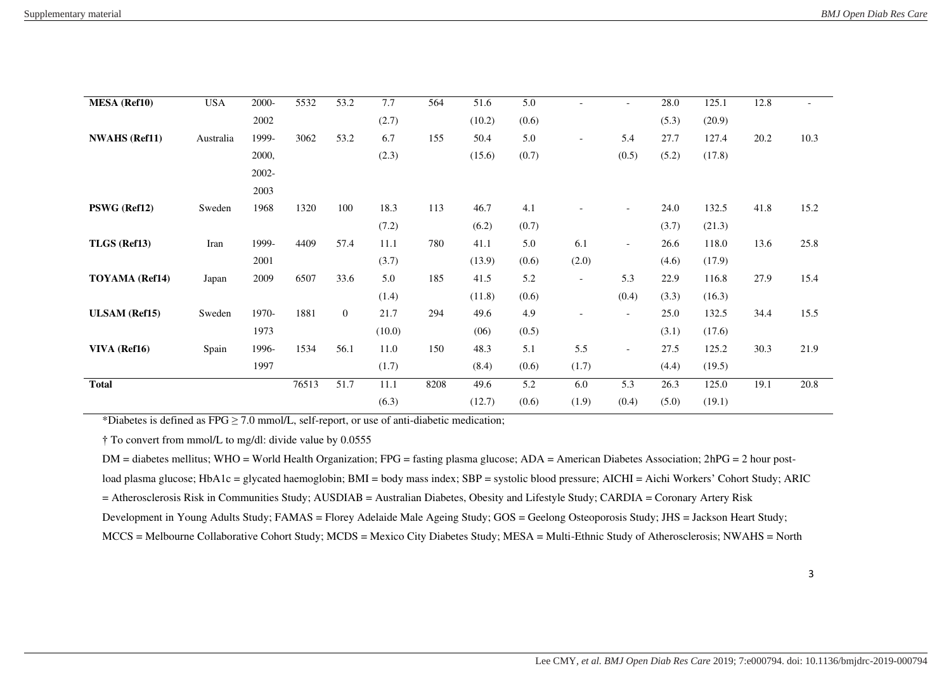| <b>MESA</b> (Ref10)  | <b>USA</b> | $2000 -$ | 5532  | $\overline{53.2}$ | 7.7    | 564  | 51.6   | 5.0   | $\overline{\phantom{a}}$ | $\overline{\phantom{a}}$ | 28.0  | 125.1  | 12.8 | $\overline{a}$ |
|----------------------|------------|----------|-------|-------------------|--------|------|--------|-------|--------------------------|--------------------------|-------|--------|------|----------------|
|                      |            | 2002     |       |                   | (2.7)  |      | (10.2) | (0.6) |                          |                          | (5.3) | (20.9) |      |                |
| <b>NWAHS</b> (Ref11) | Australia  | 1999-    | 3062  | 53.2              | 6.7    | 155  | 50.4   | 5.0   | $\overline{\phantom{a}}$ | 5.4                      | 27.7  | 127.4  | 20.2 | 10.3           |
|                      |            | 2000,    |       |                   | (2.3)  |      | (15.6) | (0.7) |                          | (0.5)                    | (5.2) | (17.8) |      |                |
|                      |            | 2002-    |       |                   |        |      |        |       |                          |                          |       |        |      |                |
|                      |            | 2003     |       |                   |        |      |        |       |                          |                          |       |        |      |                |
| PSWG (Ref12)         | Sweden     | 1968     | 1320  | 100               | 18.3   | 113  | 46.7   | 4.1   |                          | $\overline{a}$           | 24.0  | 132.5  | 41.8 | 15.2           |
|                      |            |          |       |                   | (7.2)  |      | (6.2)  | (0.7) |                          |                          | (3.7) | (21.3) |      |                |
| TLGS (Ref13)         | Iran       | 1999-    | 4409  | 57.4              | 11.1   | 780  | 41.1   | 5.0   | 6.1                      | $-$                      | 26.6  | 118.0  | 13.6 | 25.8           |
|                      |            | 2001     |       |                   | (3.7)  |      | (13.9) | (0.6) | (2.0)                    |                          | (4.6) | (17.9) |      |                |
| TOYAMA (Ref14)       | Japan      | 2009     | 6507  | 33.6              | 5.0    | 185  | 41.5   | 5.2   | $\overline{\phantom{a}}$ | 5.3                      | 22.9  | 116.8  | 27.9 | 15.4           |
|                      |            |          |       |                   | (1.4)  |      | (11.8) | (0.6) |                          | (0.4)                    | (3.3) | (16.3) |      |                |
| <b>ULSAM</b> (Ref15) | Sweden     | 1970-    | 1881  | $\overline{0}$    | 21.7   | 294  | 49.6   | 4.9   |                          | $-$                      | 25.0  | 132.5  | 34.4 | 15.5           |
|                      |            | 1973     |       |                   | (10.0) |      | (06)   | (0.5) |                          |                          | (3.1) | (17.6) |      |                |
| VIVA (Ref16)         | Spain      | 1996-    | 1534  | 56.1              | 11.0   | 150  | 48.3   | 5.1   | 5.5                      | $\overline{\phantom{a}}$ | 27.5  | 125.2  | 30.3 | 21.9           |
|                      |            | 1997     |       |                   | (1.7)  |      | (8.4)  | (0.6) | (1.7)                    |                          | (4.4) | (19.5) |      |                |
| <b>Total</b>         |            |          | 76513 | 51.7              | 11.1   | 8208 | 49.6   | 5.2   | 6.0                      | 5.3                      | 26.3  | 125.0  | 19.1 | 20.8           |
|                      |            |          |       |                   | (6.3)  |      | (12.7) | (0.6) | (1.9)                    | (0.4)                    | (5.0) | (19.1) |      |                |

\*Diabetes is defined as  $FPG \ge 7.0$  mmol/L, self-report, or use of anti-diabetic medication;

† To convert from mmol/L to mg/dl: divide value by 0.0555

DM = diabetes mellitus; WHO = World Health Organization; FPG = fasting plasma glucose; ADA = American Diabetes Association; 2hPG = 2 hour post-

load plasma glucose; HbA1c = glycated haemoglobin; BMI = body mass index; SBP = systolic blood pressure; AICHI = Aichi Workers' Cohort Study; ARIC

= Atherosclerosis Risk in Communities Study; AUSDIAB = Australian Diabetes, Obesity and Lifestyle Study; CARDIA = Coronary Artery Risk

Development in Young Adults Study; FAMAS = Florey Adelaide Male Ageing Study; GOS = Geelong Osteoporosis Study; JHS = Jackson Heart Study;

MCCS = Melbourne Collaborative Cohort Study; MCDS = Mexico City Diabetes Study; MESA = Multi-Ethnic Study of Atherosclerosis; NWAHS = North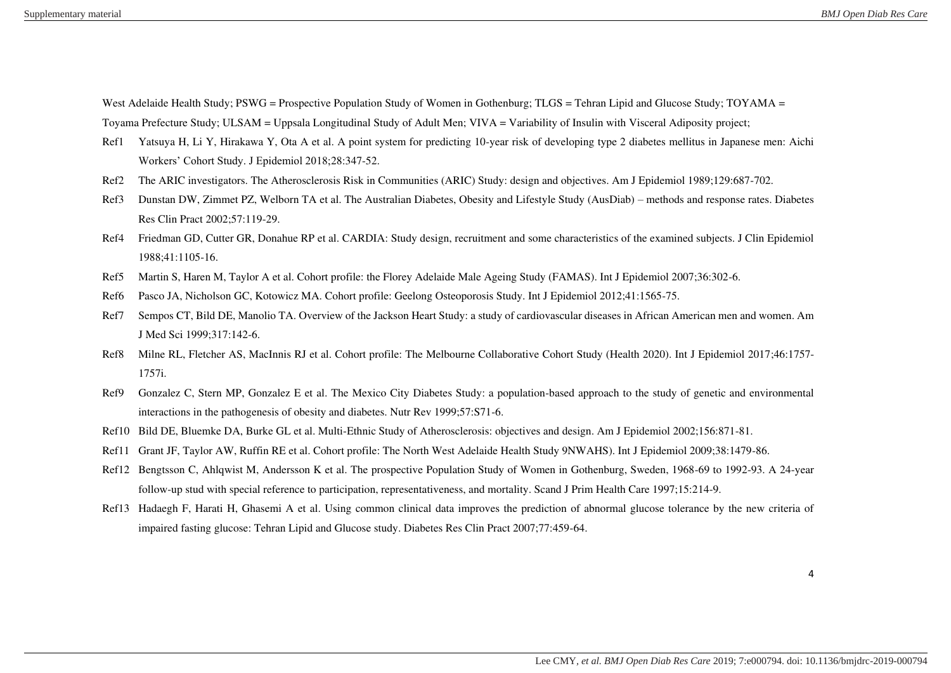West Adelaide Health Study; PSWG = Prospective Population Study of Women in Gothenburg; TLGS = Tehran Lipid and Glucose Study; TOYAMA = Toyama Prefecture Study; ULSAM = Uppsala Longitudinal Study of Adult Men; VIVA = Variability of Insulin with Visceral Adiposity project;

- Ref1 Yatsuya H, Li Y, Hirakawa Y, Ota A et al. A point system for predicting 10-year risk of developing type 2 diabetes mellitus in Japanese men: Aichi Workers' Cohort Study. J Epidemiol 2018;28:347-52.
- Ref2 The ARIC investigators. The Atherosclerosis Risk in Communities (ARIC) Study: design and objectives. Am J Epidemiol 1989;129:687-702.
- Ref3 Dunstan DW, Zimmet PZ, Welborn TA et al. The Australian Diabetes, Obesity and Lifestyle Study (AusDiab) methods and response rates. Diabetes Res Clin Pract 2002;57:119-29.
- Ref4 Friedman GD, Cutter GR, Donahue RP et al. CARDIA: Study design, recruitment and some characteristics of the examined subjects. J Clin Epidemiol 1988;41:1105-16.
- Ref5 Martin S, Haren M, Taylor A et al. Cohort profile: the Florey Adelaide Male Ageing Study (FAMAS). Int J Epidemiol 2007;36:302-6.
- Ref6 Pasco JA, Nicholson GC, Kotowicz MA. Cohort profile: Geelong Osteoporosis Study. Int J Epidemiol 2012;41:1565-75.
- Ref7 Sempos CT, Bild DE, Manolio TA. Overview of the Jackson Heart Study: a study of cardiovascular diseases in African American men and women. Am J Med Sci 1999;317:142-6.
- Ref8 Milne RL, Fletcher AS, MacInnis RJ et al. Cohort profile: The Melbourne Collaborative Cohort Study (Health 2020). Int J Epidemiol 2017;46:1757- 1757i.
- Ref9 Gonzalez C, Stern MP, Gonzalez E et al. The Mexico City Diabetes Study: a population-based approach to the study of genetic and environmental interactions in the pathogenesis of obesity and diabetes. Nutr Rev 1999;57:S71-6.
- Ref10 Bild DE, Bluemke DA, Burke GL et al. Multi-Ethnic Study of Atherosclerosis: objectives and design. Am J Epidemiol 2002;156:871-81.
- Ref11 Grant JF, Taylor AW, Ruffin RE et al. Cohort profile: The North West Adelaide Health Study 9NWAHS). Int J Epidemiol 2009;38:1479-86.
- Ref12 Bengtsson C, Ahlqwist M, Andersson K et al. The prospective Population Study of Women in Gothenburg, Sweden, 1968-69 to 1992-93. A 24-year follow-up stud with special reference to participation, representativeness, and mortality. Scand J Prim Health Care 1997;15:214-9.
- Ref13 Hadaegh F, Harati H, Ghasemi A et al. Using common clinical data improves the prediction of abnormal glucose tolerance by the new criteria of impaired fasting glucose: Tehran Lipid and Glucose study. Diabetes Res Clin Pract 2007;77:459-64.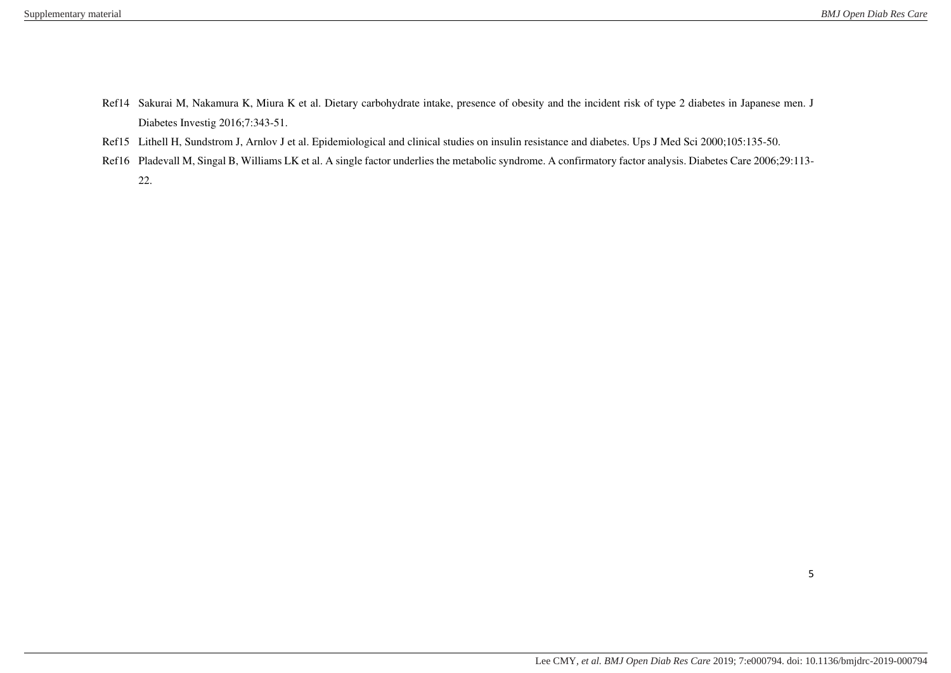- Ref14 Sakurai M, Nakamura K, Miura K et al. Dietary carbohydrate intake, presence of obesity and the incident risk of type 2 diabetes in Japanese men. J Diabetes Investig 2016;7:343-51.
- Ref15 Lithell H, Sundstrom J, Arnlov J et al. Epidemiological and clinical studies on insulin resistance and diabetes. Ups J Med Sci 2000;105:135-50.
- Ref16 Pladevall M, Singal B, Williams LK et al. A single factor underlies the metabolic syndrome. A confirmatory factor analysis. Diabetes Care 2006;29:113-22.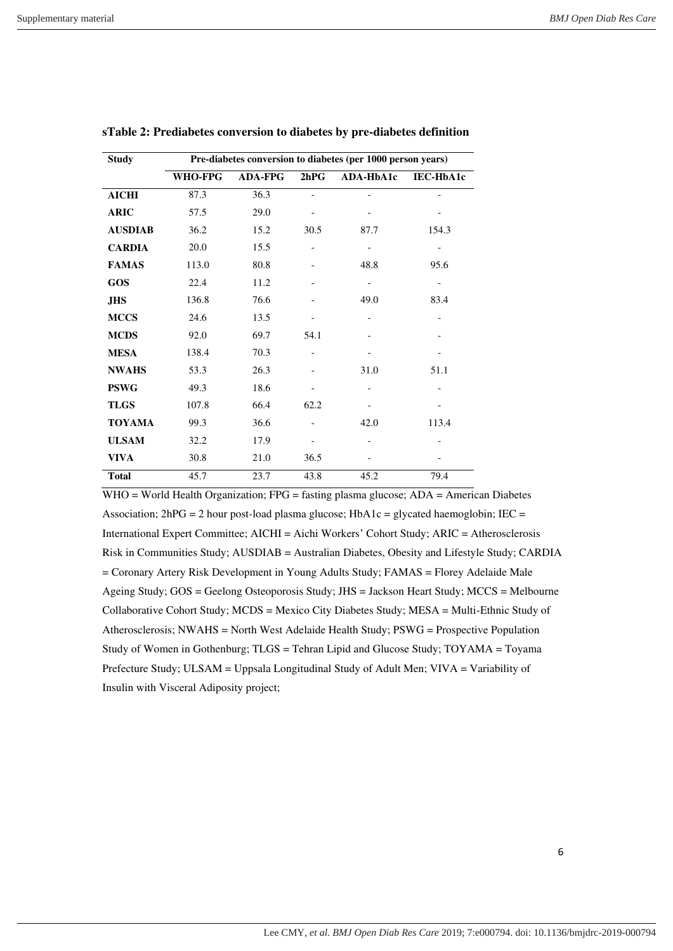| <b>Study</b>   |                | Pre-diabetes conversion to diabetes (per 1000 person years) |      |           |           |  |  |  |  |  |  |
|----------------|----------------|-------------------------------------------------------------|------|-----------|-----------|--|--|--|--|--|--|
|                | <b>WHO-FPG</b> | <b>ADA-FPG</b>                                              | 2hPG | ADA-HbA1c | IEC-HbA1c |  |  |  |  |  |  |
| <b>AICHI</b>   | 87.3           | 36.3                                                        |      |           |           |  |  |  |  |  |  |
| <b>ARIC</b>    | 57.5           | 29.0                                                        |      |           |           |  |  |  |  |  |  |
| <b>AUSDIAB</b> | 36.2           | 15.2                                                        | 30.5 | 87.7      | 154.3     |  |  |  |  |  |  |
| <b>CARDIA</b>  | 20.0           | 15.5                                                        |      |           |           |  |  |  |  |  |  |
| <b>FAMAS</b>   | 113.0          | 80.8                                                        |      | 48.8      | 95.6      |  |  |  |  |  |  |
| GOS            | 22.4           | 11.2                                                        |      |           |           |  |  |  |  |  |  |
| JHS            | 136.8          | 76.6                                                        |      | 49.0      | 83.4      |  |  |  |  |  |  |
| <b>MCCS</b>    | 24.6           | 13.5                                                        |      |           |           |  |  |  |  |  |  |
| <b>MCDS</b>    | 92.0           | 69.7                                                        | 54.1 |           |           |  |  |  |  |  |  |
| <b>MESA</b>    | 138.4          | 70.3                                                        |      |           |           |  |  |  |  |  |  |
| <b>NWAHS</b>   | 53.3           | 26.3                                                        |      | 31.0      | 51.1      |  |  |  |  |  |  |
| <b>PSWG</b>    | 49.3           | 18.6                                                        |      |           |           |  |  |  |  |  |  |
| <b>TLGS</b>    | 107.8          | 66.4                                                        | 62.2 |           |           |  |  |  |  |  |  |
| <b>TOYAMA</b>  | 99.3           | 36.6                                                        |      | 42.0      | 113.4     |  |  |  |  |  |  |
| <b>ULSAM</b>   | 32.2           | 17.9                                                        |      |           |           |  |  |  |  |  |  |
| <b>VIVA</b>    | 30.8           | 21.0                                                        | 36.5 |           |           |  |  |  |  |  |  |
| <b>Total</b>   | 45.7           | 23.7                                                        | 43.8 | 45.2      | 79.4      |  |  |  |  |  |  |

#### **sTable 2: Prediabetes conversion to diabetes by pre-diabetes definition**

WHO = World Health Organization; FPG = fasting plasma glucose; ADA = American Diabetes Association;  $2hPG = 2$  hour post-load plasma glucose;  $HbA1c =$  glycated haemoglobin;  $IEC =$ International Expert Committee; AICHI = Aichi Workers' Cohort Study; ARIC = Atherosclerosis Risk in Communities Study; AUSDIAB = Australian Diabetes, Obesity and Lifestyle Study; CARDIA = Coronary Artery Risk Development in Young Adults Study; FAMAS = Florey Adelaide Male Ageing Study; GOS = Geelong Osteoporosis Study; JHS = Jackson Heart Study; MCCS = Melbourne Collaborative Cohort Study; MCDS = Mexico City Diabetes Study; MESA = Multi-Ethnic Study of Atherosclerosis; NWAHS = North West Adelaide Health Study; PSWG = Prospective Population Study of Women in Gothenburg; TLGS = Tehran Lipid and Glucose Study; TOYAMA = Toyama Prefecture Study; ULSAM = Uppsala Longitudinal Study of Adult Men; VIVA = Variability of Insulin with Visceral Adiposity project;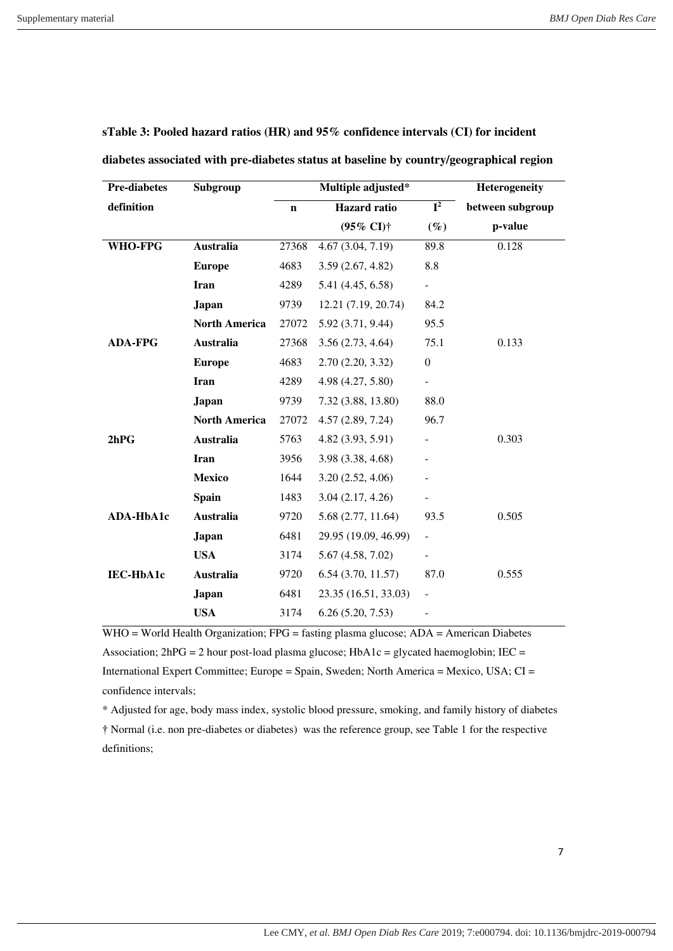| <b>Pre-diabetes</b> | Subgroup             |             | Multiple adjusted*         |                           | Heterogeneity    |  |  |  |
|---------------------|----------------------|-------------|----------------------------|---------------------------|------------------|--|--|--|
| definition          |                      | $\mathbf n$ | <b>Hazard</b> ratio        | $\overline{\mathbf{I}^2}$ | between subgroup |  |  |  |
|                     |                      |             | $(95\% \text{ CI})\dagger$ | $(\%)$                    | p-value          |  |  |  |
| <b>WHO-FPG</b>      | <b>Australia</b>     | 27368       | 4.67(3.04, 7.19)           | 89.8                      | 0.128            |  |  |  |
|                     | <b>Europe</b>        | 4683        | 3.59(2.67, 4.82)           | 8.8                       |                  |  |  |  |
|                     | <b>Iran</b>          | 4289        | 5.41 (4.45, 6.58)          |                           |                  |  |  |  |
|                     | <b>Japan</b>         | 9739        | 12.21 (7.19, 20.74)        | 84.2                      |                  |  |  |  |
|                     | <b>North America</b> | 27072       | 5.92 (3.71, 9.44)          | 95.5                      |                  |  |  |  |
| <b>ADA-FPG</b>      | Australia            | 27368       | 3.56(2.73, 4.64)           | 75.1                      | 0.133            |  |  |  |
|                     | <b>Europe</b>        | 4683        | 2.70(2.20, 3.32)           | $\boldsymbol{0}$          |                  |  |  |  |
|                     | <b>Iran</b>          | 4289        | 4.98 (4.27, 5.80)          |                           |                  |  |  |  |
|                     | <b>Japan</b>         | 9739        | 7.32 (3.88, 13.80)         | 88.0                      |                  |  |  |  |
|                     | <b>North America</b> | 27072       | 4.57(2.89, 7.24)           | 96.7                      |                  |  |  |  |
| 2hPG                | <b>Australia</b>     | 5763        | 4.82 (3.93, 5.91)          |                           | 0.303            |  |  |  |
|                     | <b>Iran</b>          | 3956        | 3.98 (3.38, 4.68)          |                           |                  |  |  |  |
|                     | <b>Mexico</b>        | 1644        | 3.20(2.52, 4.06)           |                           |                  |  |  |  |
|                     | <b>Spain</b>         | 1483        | 3.04(2.17, 4.26)           |                           |                  |  |  |  |
| ADA-HbA1c           | Australia            | 9720        | 5.68 (2.77, 11.64)         | 93.5                      | 0.505            |  |  |  |
|                     | <b>Japan</b>         | 6481        | 29.95 (19.09, 46.99)       | $\frac{1}{2}$             |                  |  |  |  |
|                     | <b>USA</b>           | 3174        | 5.67(4.58, 7.02)           | $\overline{\phantom{0}}$  |                  |  |  |  |
| <b>IEC-HbA1c</b>    | Australia            | 9720        | 6.54(3.70, 11.57)          | 87.0                      | 0.555            |  |  |  |
|                     | Japan                | 6481        | 23.35 (16.51, 33.03)       |                           |                  |  |  |  |
|                     | <b>USA</b>           | 3174        | 6.26(5.20, 7.53)           |                           |                  |  |  |  |

**sTable 3: Pooled hazard ratios (HR) and 95% confidence intervals (CI) for incident** 

WHO = World Health Organization; FPG = fasting plasma glucose; ADA = American Diabetes Association;  $2hPG = 2$  hour post-load plasma glucose;  $HbA1c =$  glycated haemoglobin;  $IEC =$ International Expert Committee; Europe = Spain, Sweden; North America = Mexico, USA; CI = confidence intervals;

\* Adjusted for age, body mass index, systolic blood pressure, smoking, and family history of diabetes

† Normal (i.e. non pre-diabetes or diabetes) was the reference group, see Table 1 for the respective definitions;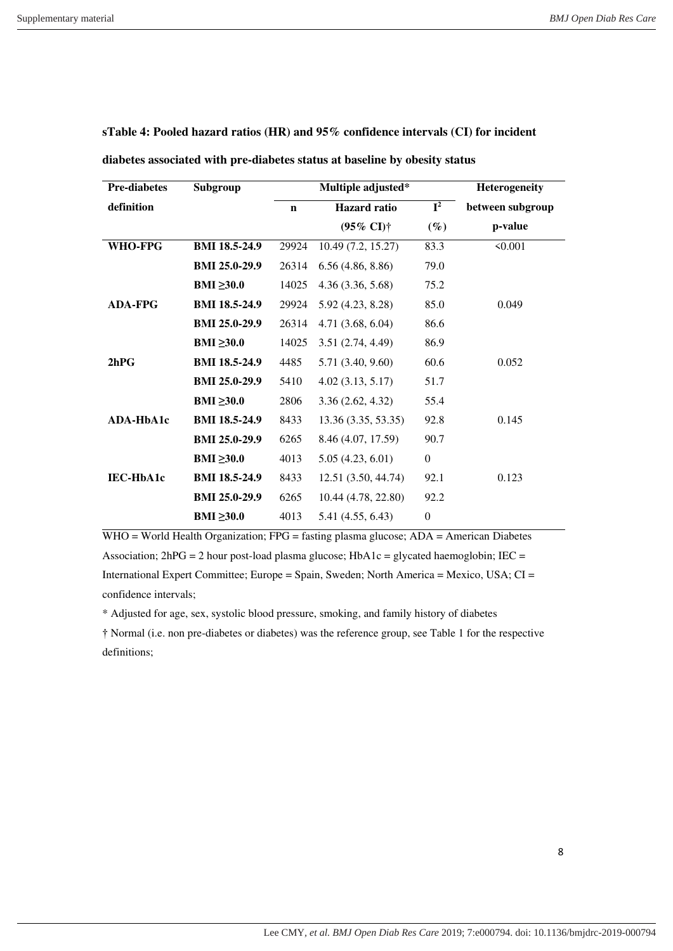| <b>Pre-diabetes</b> | Subgroup             |             | Multiple adjusted*         |              | <b>Heterogeneity</b> |
|---------------------|----------------------|-------------|----------------------------|--------------|----------------------|
| definition          |                      | $\mathbf n$ | <b>Hazard</b> ratio        | ${\bf I}^2$  | between subgroup     |
|                     |                      |             | $(95\% \text{ CI})\dagger$ | $(\%)$       | p-value              |
| WHO-FPG             | <b>BMI 18.5-24.9</b> | 29924       | 10.49(7.2, 15.27)          | 83.3         | 50.001               |
|                     | <b>BMI 25.0-29.9</b> | 26314       | 6.56(4.86, 8.86)           | 79.0         |                      |
|                     | BMI $\geq 30.0$      | 14025       | 4.36 (3.36, 5.68)          | 75.2         |                      |
| <b>ADA-FPG</b>      | <b>BMI 18.5-24.9</b> | 29924       | 5.92 (4.23, 8.28)          | 85.0         | 0.049                |
|                     | <b>BMI 25.0-29.9</b> | 26314       | 4.71(3.68, 6.04)           | 86.6         |                      |
|                     | BMI $\geq 30.0$      | 14025       | 3.51(2.74, 4.49)           | 86.9         |                      |
| 2hPG                | <b>BMI 18.5-24.9</b> | 4485        | 5.71 (3.40, 9.60)          | 60.6         | 0.052                |
|                     | <b>BMI 25.0-29.9</b> | 5410        | 4.02(3.13, 5.17)           | 51.7         |                      |
|                     | BMI $\geq 30.0$      | 2806        | 3.36(2.62, 4.32)           | 55.4         |                      |
| <b>ADA-HbA1c</b>    | <b>BMI 18.5-24.9</b> | 8433        | 13.36 (3.35, 53.35)        | 92.8         | 0.145                |
|                     | <b>BMI 25.0-29.9</b> | 6265        | 8.46 (4.07, 17.59)         | 90.7         |                      |
|                     | BMI $\geq 30.0$      | 4013        | 5.05(4.23, 6.01)           | $\mathbf{0}$ |                      |
| <b>IEC-HbA1c</b>    | <b>BMI 18.5-24.9</b> | 8433        | 12.51 (3.50, 44.74)        | 92.1         | 0.123                |
|                     | <b>BMI 25.0-29.9</b> | 6265        | 10.44 (4.78, 22.80)        | 92.2         |                      |
|                     | BMI $\geq 30.0$      | 4013        | 5.41 (4.55, 6.43)          | $\theta$     |                      |

**sTable 4: Pooled hazard ratios (HR) and 95% confidence intervals (CI) for incident** 

**diabetes associated with pre-diabetes status at baseline by obesity status** 

WHO = World Health Organization; FPG = fasting plasma glucose; ADA = American Diabetes Association; 2hPG = 2 hour post-load plasma glucose; HbA1c = glycated haemoglobin; IEC = International Expert Committee; Europe = Spain, Sweden; North America = Mexico, USA; CI =

confidence intervals;

\* Adjusted for age, sex, systolic blood pressure, smoking, and family history of diabetes † Normal (i.e. non pre-diabetes or diabetes) was the reference group, see Table 1 for the respective

definitions;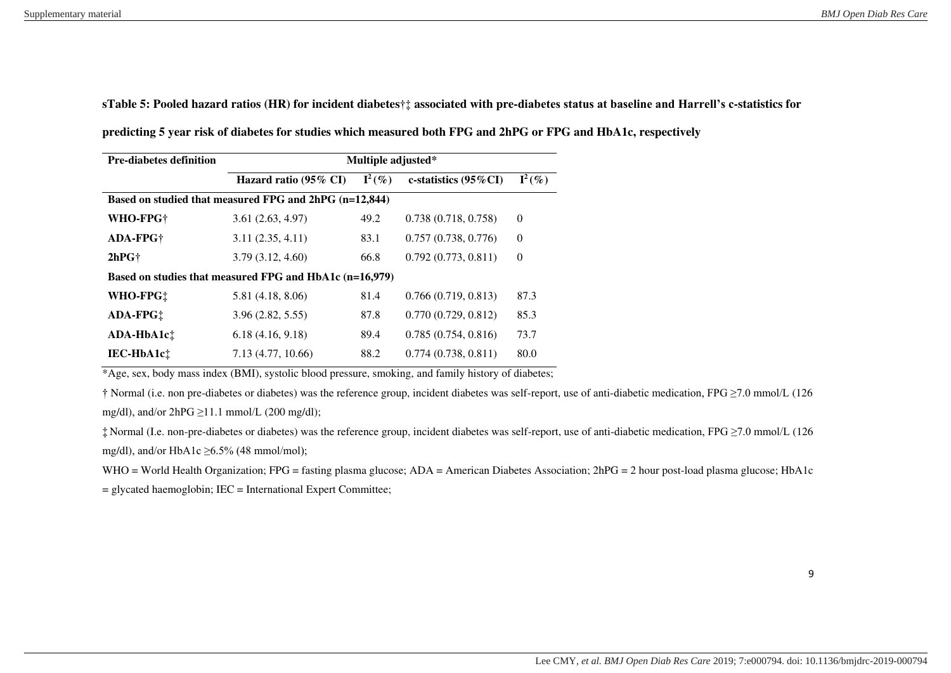**sTable 5: Pooled hazard ratios (HR) for incident diabetes**†‡ **associated with pre-diabetes status at baseline and Harrell's c-statistics for** 

**predicting 5 year risk of diabetes for studies which measured both FPG and 2hPG or FPG and HbA1c, respectively** 

| <b>Pre-diabetes definition</b> | Multiple adjusted*                                      |           |                          |                    |  |  |  |  |  |  |
|--------------------------------|---------------------------------------------------------|-----------|--------------------------|--------------------|--|--|--|--|--|--|
|                                | Hazard ratio (95% CI)                                   | $I^2(\%)$ | c-statistics $(95\%$ CI) | $\mathbf{I}^2(\%)$ |  |  |  |  |  |  |
|                                | Based on studied that measured FPG and 2hPG (n=12,844)  |           |                          |                    |  |  |  |  |  |  |
| WHO-FPG <sup>+</sup>           | 3.61(2.63, 4.97)                                        | 49.2      | 0.738(0.718, 0.758)      | $\theta$           |  |  |  |  |  |  |
| <b>ADA-FPG+</b>                | 3.11(2.35, 4.11)                                        | 83.1      | 0.757(0.738, 0.776)      | $\theta$           |  |  |  |  |  |  |
| 2hPGf                          | 3.79(3.12, 4.60)                                        | 66.8      | 0.792(0.773, 0.811)      | $\theta$           |  |  |  |  |  |  |
|                                | Based on studies that measured FPG and HbA1c (n=16,979) |           |                          |                    |  |  |  |  |  |  |
| WHO-FPG!                       | 5.81(4.18, 8.06)                                        | 81.4      | 0.766(0.719, 0.813)      | 87.3               |  |  |  |  |  |  |
| ADA-FPG!                       | 3.96(2.82, 5.55)                                        | 87.8      | 0.770(0.729, 0.812)      | 85.3               |  |  |  |  |  |  |
| ADA-HbA1c!                     | 6.18(4.16, 9.18)                                        | 89.4      | 0.785(0.754, 0.816)      | 73.7               |  |  |  |  |  |  |
| <b>IEC-HbA1ct</b>              | 7.13 (4.77, 10.66)                                      | 88.2      | 0.774(0.738, 0.811)      | 80.0               |  |  |  |  |  |  |

\*Age, sex, body mass index (BMI), systolic blood pressure, smoking, and family history of diabetes;

† Normal (i.e. non pre-diabetes or diabetes) was the reference group, incident diabetes was self-report, use of anti-diabetic medication, FPG ≥7.0 mmol/L (126 mg/dl), and/or  $2hPG \ge 11.1$  mmol/L (200 mg/dl);

‡ Normal (I.e. non-pre-diabetes or diabetes) was the reference group, incident diabetes was self-report, use of anti-diabetic medication, FPG ≥7.0 mmol/L (126 mg/dl), and/or HbA1c  $\geq$ 6.5% (48 mmol/mol);

WHO = World Health Organization; FPG = fasting plasma glucose; ADA = American Diabetes Association; 2hPG = 2 hour post-load plasma glucose; HbA1c

= glycated haemoglobin; IEC = International Expert Committee;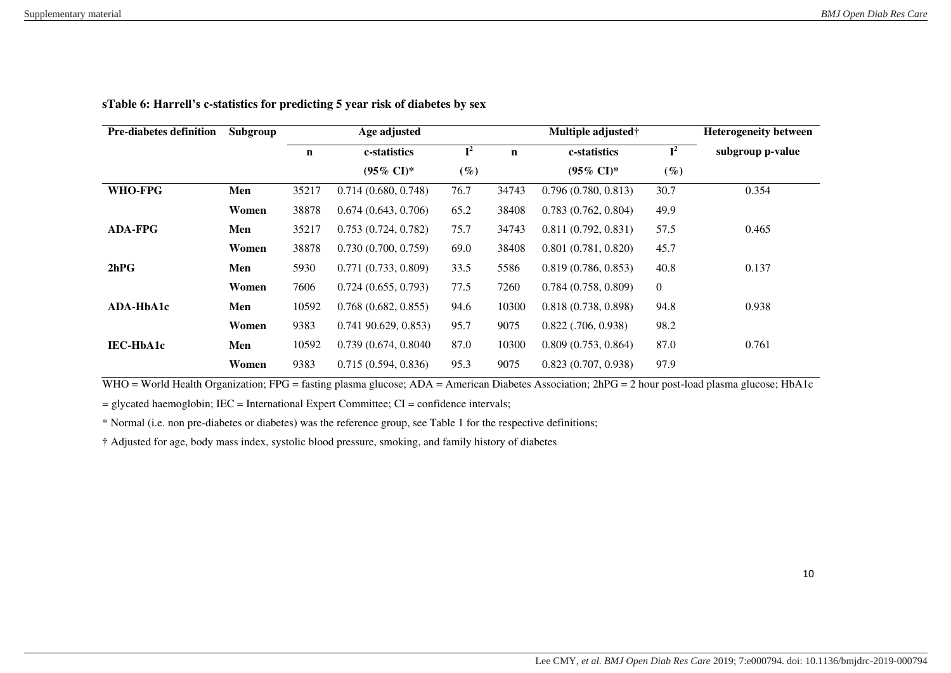| <b>Pre-diabetes definition</b> | Subgroup | Age adjusted |                        |                |             | Multiple adjusted†    |                  | <b>Heterogeneity between</b> |  |  |
|--------------------------------|----------|--------------|------------------------|----------------|-------------|-----------------------|------------------|------------------------------|--|--|
|                                |          | $\mathbf n$  | c-statistics           | $\mathbf{I}^2$ | $\mathbf n$ | c-statistics          | ${\bf I}^2$      | subgroup p-value             |  |  |
|                                |          |              | $(95\% \text{ CI})^*$  | $(\%)$         |             | $(95\% \text{ CI})^*$ | $(\%)$           |                              |  |  |
| WHO-FPG                        | Men      | 35217        | 0.714(0.680, 0.748)    | 76.7           | 34743       | 0.796(0.780, 0.813)   | 30.7             | 0.354                        |  |  |
|                                | Women    | 38878        | 0.674(0.643, 0.706)    | 65.2           | 38408       | 0.783(0.762, 0.804)   | 49.9             |                              |  |  |
| <b>ADA-FPG</b>                 | Men      | 35217        | 0.753(0.724, 0.782)    | 75.7           | 34743       | 0.811(0.792, 0.831)   | 57.5             | 0.465                        |  |  |
|                                | Women    | 38878        | 0.730(0.700, 0.759)    | 69.0           | 38408       | 0.801(0.781, 0.820)   | 45.7             |                              |  |  |
| 2hPG                           | Men      | 5930         | 0.771(0.733, 0.809)    | 33.5           | 5586        | 0.819(0.786, 0.853)   | 40.8             | 0.137                        |  |  |
|                                | Women    | 7606         | 0.724(0.655, 0.793)    | 77.5           | 7260        | 0.784(0.758, 0.809)   | $\boldsymbol{0}$ |                              |  |  |
| <b>ADA-HbA1c</b>               | Men      | 10592        | 0.768(0.682, 0.855)    | 94.6           | 10300       | 0.818(0.738, 0.898)   | 94.8             | 0.938                        |  |  |
|                                | Women    | 9383         | $0.741\,90.629, 0.853$ | 95.7           | 9075        | $0.822$ (.706, 0.938) | 98.2             |                              |  |  |
| <b>IEC-HbA1c</b>               | Men      | 10592        | 0.739(0.674, 0.8040)   | 87.0           | 10300       | 0.809(0.753, 0.864)   | 87.0             | 0.761                        |  |  |
|                                | Women    | 9383         | 0.715(0.594, 0.836)    | 95.3           | 9075        | 0.823(0.707, 0.938)   | 97.9             |                              |  |  |

# **sTable 6: Harrell's c-statistics for predicting 5 year risk of diabetes by sex**

WHO = World Health Organization; FPG = fasting plasma glucose; ADA = American Diabetes Association; 2hPG = 2 hour post-load plasma glucose; HbA1c

 $=$  glycated haemoglobin; IEC = International Expert Committee; CI = confidence intervals;

\* Normal (i.e. non pre-diabetes or diabetes) was the reference group, see Table 1 for the respective definitions;

† Adjusted for age, body mass index, systolic blood pressure, smoking, and family history of diabetes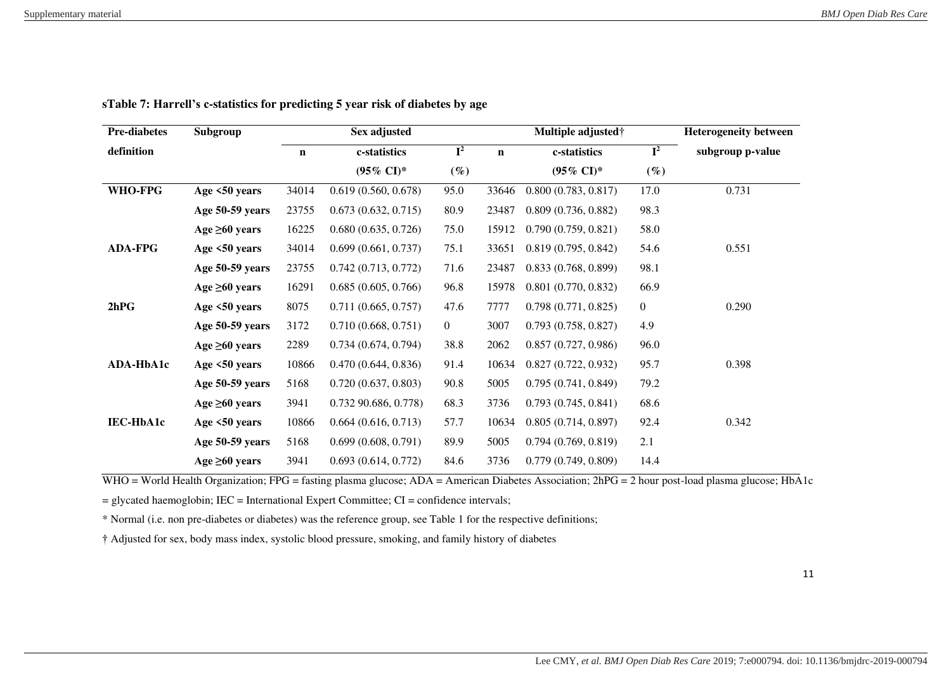| <b>Pre-diabetes</b> | Subgroup            |             | Sex adjusted          |                |             | Multiple adjusted <sup>†</sup> |                           | <b>Heterogeneity between</b> |
|---------------------|---------------------|-------------|-----------------------|----------------|-------------|--------------------------------|---------------------------|------------------------------|
| definition          |                     | $\mathbf n$ | c-statistics          | ${\bf I}^2$    | $\mathbf n$ | c-statistics                   | $\overline{\mathbf{I}^2}$ | subgroup p-value             |
|                     |                     |             | $(95\% \text{ CI})^*$ | $(\%)$         |             | $(95\% \text{ CI})^*$          | $(\%)$                    |                              |
| WHO-FPG             | Age $\leq 50$ years | 34014       | 0.619(0.560, 0.678)   | 95.0           | 33646       | 0.800(0.783, 0.817)            | 17.0                      | 0.731                        |
|                     | Age 50-59 years     | 23755       | 0.673(0.632, 0.715)   | 80.9           | 23487       | 0.809(0.736, 0.882)            | 98.3                      |                              |
|                     | Age $\geq 60$ years | 16225       | 0.680(0.635, 0.726)   | 75.0           | 15912       | 0.790(0.759, 0.821)            | 58.0                      |                              |
| <b>ADA-FPG</b>      | Age $<50$ years     | 34014       | 0.699(0.661, 0.737)   | 75.1           | 33651       | 0.819(0.795, 0.842)            | 54.6                      | 0.551                        |
|                     | Age 50-59 years     | 23755       | 0.742(0.713, 0.772)   | 71.6           | 23487       | 0.833(0.768, 0.899)            | 98.1                      |                              |
|                     | Age $\geq 60$ years | 16291       | 0.685(0.605, 0.766)   | 96.8           | 15978       | 0.801(0.770, 0.832)            | 66.9                      |                              |
| 2hPG                | Age $\leq 50$ years | 8075        | 0.711(0.665, 0.757)   | 47.6           | 7777        | 0.798(0.771, 0.825)            | $\boldsymbol{0}$          | 0.290                        |
|                     | Age 50-59 years     | 3172        | 0.710(0.668, 0.751)   | $\overline{0}$ | 3007        | 0.793(0.758, 0.827)            | 4.9                       |                              |
|                     | Age $\geq 60$ years | 2289        | 0.734(0.674, 0.794)   | 38.8           | 2062        | 0.857(0.727, 0.986)            | 96.0                      |                              |
| ADA-HbA1c           | Age $<50$ years     | 10866       | 0.470(0.644, 0.836)   | 91.4           | 10634       | 0.827(0.722, 0.932)            | 95.7                      | 0.398                        |
|                     | Age 50-59 years     | 5168        | 0.720(0.637, 0.803)   | 90.8           | 5005        | 0.795(0.741, 0.849)            | 79.2                      |                              |
|                     | Age $\geq 60$ years | 3941        | 0.732 90.686, 0.778)  | 68.3           | 3736        | 0.793(0.745, 0.841)            | 68.6                      |                              |
| <b>IEC-HbA1c</b>    | Age $<50$ years     | 10866       | 0.664(0.616, 0.713)   | 57.7           | 10634       | 0.805(0.714, 0.897)            | 92.4                      | 0.342                        |
|                     | Age 50-59 years     | 5168        | 0.699(0.608, 0.791)   | 89.9           | 5005        | 0.794(0.769, 0.819)            | 2.1                       |                              |
|                     | Age $\geq 60$ years | 3941        | 0.693(0.614, 0.772)   | 84.6           | 3736        | 0.779(0.749, 0.809)            | 14.4                      |                              |

**sTable 7: Harrell's c-statistics for predicting 5 year risk of diabetes by age** 

WHO = World Health Organization; FPG = fasting plasma glucose; ADA = American Diabetes Association; 2hPG = 2 hour post-load plasma glucose; HbA1c

= glycated haemoglobin; IEC = International Expert Committee; CI = confidence intervals;

\* Normal (i.e. non pre-diabetes or diabetes) was the reference group, see Table 1 for the respective definitions;

† Adjusted for sex, body mass index, systolic blood pressure, smoking, and family history of diabetes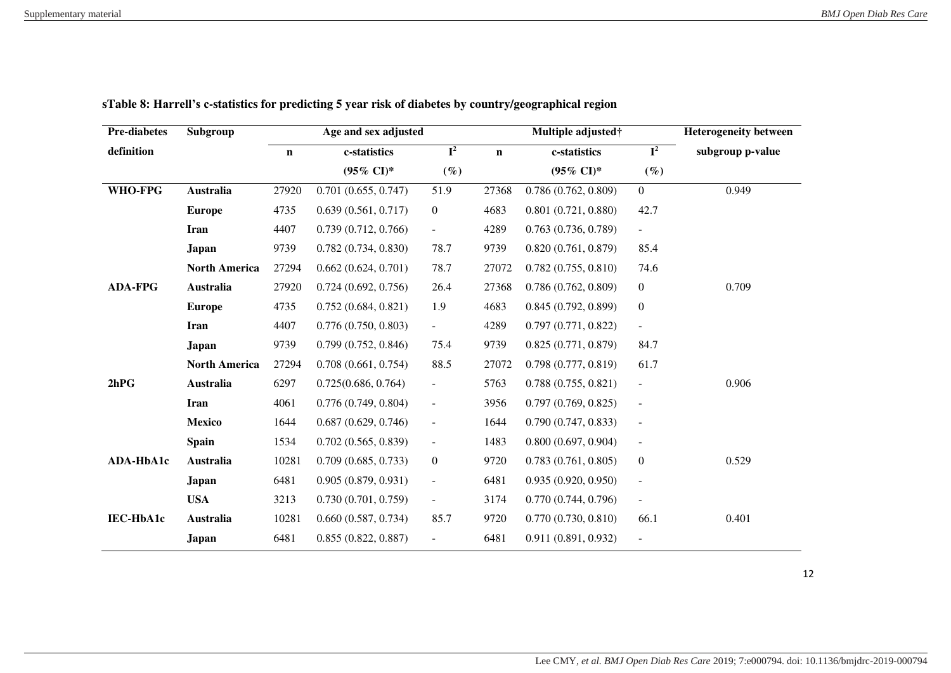| <b>Pre-diabetes</b> | Subgroup             |             | Age and sex adjusted  |                           |             | Multiple adjusted†    |                          | <b>Heterogeneity between</b> |
|---------------------|----------------------|-------------|-----------------------|---------------------------|-------------|-----------------------|--------------------------|------------------------------|
| definition          |                      | $\mathbf n$ | c-statistics          | $\overline{\mathbf{I}^2}$ | $\mathbf n$ | c-statistics          | $I^2$                    | subgroup p-value             |
|                     |                      |             | $(95\% \text{ CI})^*$ | $(\%)$                    |             | $(95\% \text{ CI})^*$ | $(\%)$                   |                              |
| <b>WHO-FPG</b>      | Australia            | 27920       | 0.701(0.655, 0.747)   | 51.9                      | 27368       | 0.786(0.762, 0.809)   | $\overline{0}$           | 0.949                        |
|                     | <b>Europe</b>        | 4735        | 0.639(0.561, 0.717)   | $\overline{0}$            | 4683        | 0.801(0.721, 0.880)   | 42.7                     |                              |
|                     | <b>Iran</b>          | 4407        | 0.739(0.712, 0.766)   | $\overline{\phantom{a}}$  | 4289        | 0.763(0.736, 0.789)   | $\blacksquare$           |                              |
|                     | Japan                | 9739        | 0.782(0.734, 0.830)   | 78.7                      | 9739        | 0.820(0.761, 0.879)   | 85.4                     |                              |
|                     | <b>North America</b> | 27294       | 0.662(0.624, 0.701)   | 78.7                      | 27072       | 0.782(0.755, 0.810)   | 74.6                     |                              |
| <b>ADA-FPG</b>      | Australia            | 27920       | 0.724(0.692, 0.756)   | 26.4                      | 27368       | 0.786(0.762, 0.809)   | $\overline{0}$           | 0.709                        |
|                     | <b>Europe</b>        | 4735        | 0.752(0.684, 0.821)   | 1.9                       | 4683        | 0.845(0.792, 0.899)   | $\boldsymbol{0}$         |                              |
|                     | Iran                 | 4407        | 0.776(0.750, 0.803)   | $\blacksquare$            | 4289        | 0.797(0.771, 0.822)   | $\overline{\phantom{a}}$ |                              |
|                     | <b>Japan</b>         | 9739        | 0.799(0.752, 0.846)   | 75.4                      | 9739        | 0.825(0.771, 0.879)   | 84.7                     |                              |
|                     | <b>North America</b> | 27294       | 0.708(0.661, 0.754)   | 88.5                      | 27072       | 0.798(0.777, 0.819)   | 61.7                     |                              |
| 2hPG                | Australia            | 6297        | 0.725(0.686, 0.764)   | $\blacksquare$            | 5763        | 0.788(0.755, 0.821)   | $\blacksquare$           | 0.906                        |
|                     | Iran                 | 4061        | 0.776(0.749, 0.804)   | $\blacksquare$            | 3956        | 0.797(0.769, 0.825)   | $\blacksquare$           |                              |
|                     | <b>Mexico</b>        | 1644        | 0.687(0.629, 0.746)   | $\blacksquare$            | 1644        | 0.790(0.747, 0.833)   | $\overline{\phantom{a}}$ |                              |
|                     | <b>Spain</b>         | 1534        | 0.702(0.565, 0.839)   | $\blacksquare$            | 1483        | 0.800(0.697, 0.904)   | $\overline{\phantom{a}}$ |                              |
| ADA-HbA1c           | <b>Australia</b>     | 10281       | 0.709(0.685, 0.733)   | $\boldsymbol{0}$          | 9720        | 0.783(0.761, 0.805)   | $\boldsymbol{0}$         | 0.529                        |
|                     | <b>Japan</b>         | 6481        | 0.905(0.879, 0.931)   | $\overline{\phantom{a}}$  | 6481        | 0.935(0.920, 0.950)   | $\overline{\phantom{a}}$ |                              |
|                     | <b>USA</b>           | 3213        | 0.730(0.701, 0.759)   | $\blacksquare$            | 3174        | 0.770(0.744, 0.796)   | $\blacksquare$           |                              |
| IEC-HbA1c           | Australia            | 10281       | 0.660(0.587, 0.734)   | 85.7                      | 9720        | 0.770(0.730, 0.810)   | 66.1                     | 0.401                        |
|                     | Japan                | 6481        | 0.855(0.822, 0.887)   | $\overline{a}$            | 6481        | 0.911 (0.891, 0.932)  | $\overline{\phantom{a}}$ |                              |

**sTable 8: Harrell's c-statistics for predicting 5 year risk of diabetes by country/geographical region** 

12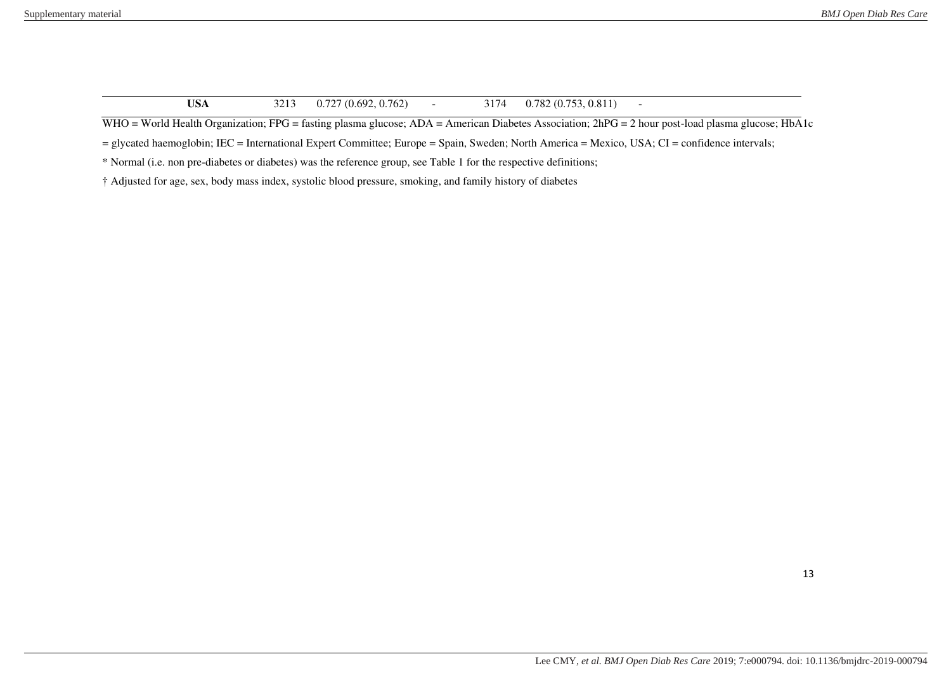| USA<br>0.727(0.692, 0.762) | 3174 | 0.782(0.753, 0.811) |
|----------------------------|------|---------------------|
|----------------------------|------|---------------------|

WHO = World Health Organization; FPG = fasting plasma glucose; ADA = American Diabetes Association; 2hPG = 2 hour post-load plasma glucose; HbA1c

= glycated haemoglobin; IEC = International Expert Committee; Europe = Spain, Sweden; North America = Mexico, USA; CI = confidence intervals;

\* Normal (i.e. non pre-diabetes or diabetes) was the reference group, see Table 1 for the respective definitions;

† Adjusted for age, sex, body mass index, systolic blood pressure, smoking, and family history of diabetes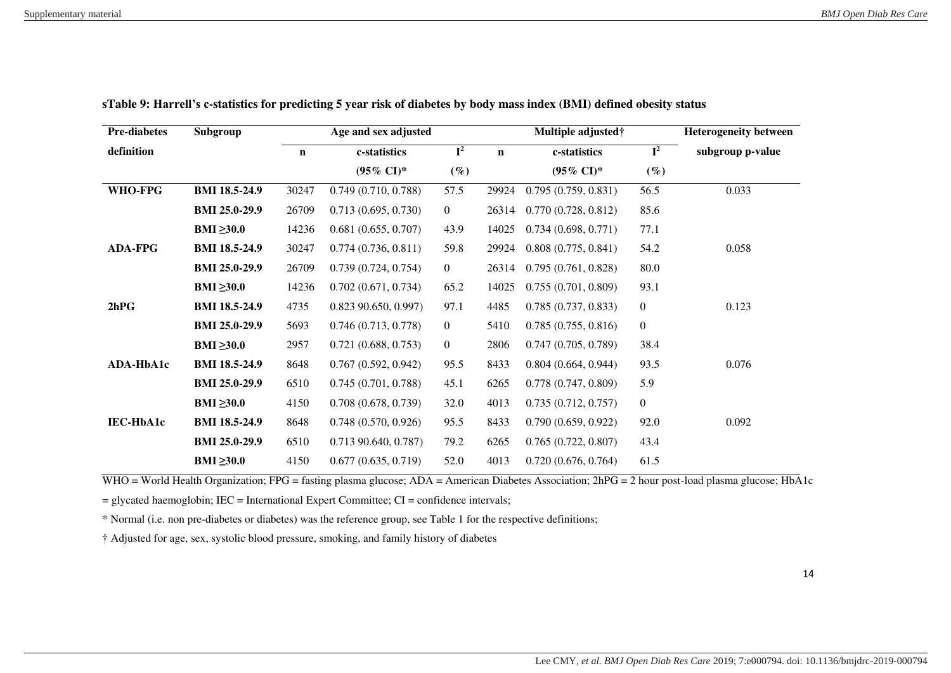| <b>Pre-diabetes</b> | Subgroup             |             | Age and sex adjusted   |                           |             | Multiple adjusted <sup>†</sup> |                           | <b>Heterogeneity between</b> |
|---------------------|----------------------|-------------|------------------------|---------------------------|-------------|--------------------------------|---------------------------|------------------------------|
| definition          |                      | $\mathbf n$ | c-statistics           | $\overline{\mathbf{I}^2}$ | $\mathbf n$ | c-statistics                   | $\overline{\mathbf{I}^2}$ | subgroup p-value             |
|                     |                      |             | $(95\% \text{ CI})^*$  | $(\%)$                    |             | $(95\% \text{ CI})^*$          | $(\%)$                    |                              |
| <b>WHO-FPG</b>      | <b>BMI 18.5-24.9</b> | 30247       | 0.749(0.710, 0.788)    | 57.5                      | 29924       | 0.795(0.759, 0.831)            | 56.5                      | 0.033                        |
|                     | <b>BMI 25.0-29.9</b> | 26709       | 0.713(0.695, 0.730)    | $\overline{0}$            | 26314       | 0.770(0.728, 0.812)            | 85.6                      |                              |
|                     | $BMI \geq 30.0$      | 14236       | 0.681(0.655, 0.707)    | 43.9                      | 14025       | 0.734(0.698, 0.771)            | 77.1                      |                              |
| <b>ADA-FPG</b>      | <b>BMI 18.5-24.9</b> | 30247       | 0.774(0.736, 0.811)    | 59.8                      | 29924       | 0.808(0.775, 0.841)            | 54.2                      | 0.058                        |
|                     | <b>BMI 25.0-29.9</b> | 26709       | 0.739(0.724, 0.754)    | $\overline{0}$            | 26314       | 0.795(0.761, 0.828)            | 80.0                      |                              |
|                     | BMI $\geq 30.0$      | 14236       | 0.702(0.671, 0.734)    | 65.2                      | 14025       | 0.755(0.701, 0.809)            | 93.1                      |                              |
| 2hPG                | <b>BMI 18.5-24.9</b> | 4735        | $0.823$ 90.650, 0.997) | 97.1                      | 4485        | 0.785(0.737, 0.833)            | $\boldsymbol{0}$          | 0.123                        |
|                     | <b>BMI 25.0-29.9</b> | 5693        | 0.746(0.713, 0.778)    | $\overline{0}$            | 5410        | 0.785(0.755, 0.816)            | $\overline{0}$            |                              |
|                     | BMI $\geq 30.0$      | 2957        | 0.721(0.688, 0.753)    | $\overline{0}$            | 2806        | 0.747(0.705, 0.789)            | 38.4                      |                              |
| ADA-HbA1c           | <b>BMI 18.5-24.9</b> | 8648        | 0.767(0.592, 0.942)    | 95.5                      | 8433        | 0.804(0.664, 0.944)            | 93.5                      | 0.076                        |
|                     | <b>BMI 25.0-29.9</b> | 6510        | 0.745(0.701, 0.788)    | 45.1                      | 6265        | 0.778(0.747, 0.809)            | 5.9                       |                              |
|                     | BMI $\geq 30.0$      | 4150        | 0.708(0.678, 0.739)    | 32.0                      | 4013        | 0.735(0.712, 0.757)            | $\overline{0}$            |                              |
| IEC-HbA1c           | <b>BMI 18.5-24.9</b> | 8648        | 0.748(0.570, 0.926)    | 95.5                      | 8433        | 0.790(0.659, 0.922)            | 92.0                      | 0.092                        |
|                     | <b>BMI 25.0-29.9</b> | 6510        | 0.713 90.640, 0.787)   | 79.2                      | 6265        | 0.765(0.722, 0.807)            | 43.4                      |                              |
|                     | BMI $\geq 30.0$      | 4150        | 0.677(0.635, 0.719)    | 52.0                      | 4013        | 0.720(0.676, 0.764)            | 61.5                      |                              |

**sTable 9: Harrell's c-statistics for predicting 5 year risk of diabetes by body mass index (BMI) defined obesity status** 

WHO = World Health Organization; FPG = fasting plasma glucose; ADA = American Diabetes Association; 2hPG = 2 hour post-load plasma glucose; HbA1c

= glycated haemoglobin; IEC = International Expert Committee; CI = confidence intervals;

\* Normal (i.e. non pre-diabetes or diabetes) was the reference group, see Table 1 for the respective definitions;

† Adjusted for age, sex, systolic blood pressure, smoking, and family history of diabetes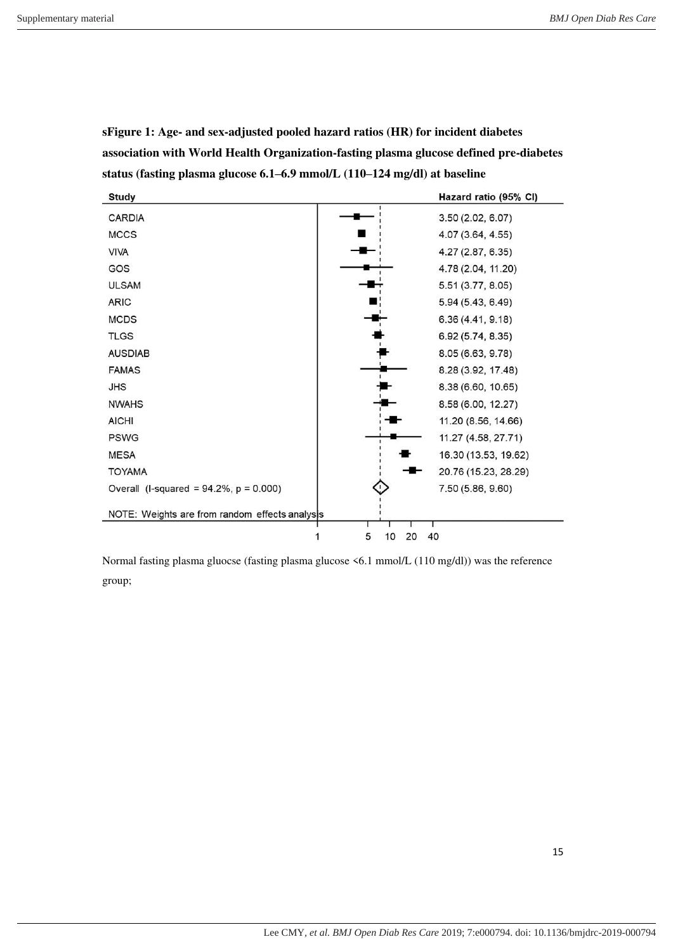| <b>Study</b>                                   | Hazard ratio (95% CI) |  |  |  |  |
|------------------------------------------------|-----------------------|--|--|--|--|
| <b>CARDIA</b>                                  | 3.50 (2.02, 6.07)     |  |  |  |  |
| <b>MCCS</b>                                    | 4.07 (3.64, 4.55)     |  |  |  |  |
| <b>VIVA</b>                                    | 4.27 (2.87, 6.35)     |  |  |  |  |
| GOS                                            | 4.78 (2.04, 11.20)    |  |  |  |  |
| <b>ULSAM</b>                                   | 5.51 (3.77, 8.05)     |  |  |  |  |
| <b>ARIC</b>                                    | 5.94 (5.43, 6.49)     |  |  |  |  |
| <b>MCDS</b>                                    | 6.36(4.41, 9.18)      |  |  |  |  |
| <b>TLGS</b>                                    | 6.92 (5.74, 8.35)     |  |  |  |  |
| <b>AUSDIAB</b>                                 | 8.05 (6.63, 9.78)     |  |  |  |  |
| <b>FAMAS</b>                                   | 8.28 (3.92, 17.48)    |  |  |  |  |
| <b>JHS</b>                                     | 8.38 (6.60, 10.65)    |  |  |  |  |
| <b>NWAHS</b>                                   | 8.58 (6.00, 12.27)    |  |  |  |  |
| <b>AICHI</b>                                   | 11.20 (8.56, 14.66)   |  |  |  |  |
| <b>PSWG</b>                                    | 11.27 (4.58, 27.71)   |  |  |  |  |
| <b>MESA</b>                                    | 16.30 (13.53, 19.62)  |  |  |  |  |
| <b>TOYAMA</b>                                  | 20.76 (15.23, 28.29)  |  |  |  |  |
| Overall (I-squared = $94.2\%$ , $p = 0.000$ )  | 7.50 (5.86, 9.60)     |  |  |  |  |
| NOTE: Weights are from random effects analysis |                       |  |  |  |  |
|                                                | 5<br>10<br>20<br>40   |  |  |  |  |

**sFigure 1: Age- and sex-adjusted pooled hazard ratios (HR) for incident diabetes association with World Health Organization-fasting plasma glucose defined pre-diabetes status (fasting plasma glucose 6.1–6.9 mmol/L (110–124 mg/dl) at baseline** 

Normal fasting plasma gluocse (fasting plasma glucose <6.1 mmol/L (110 mg/dl)) was the reference group;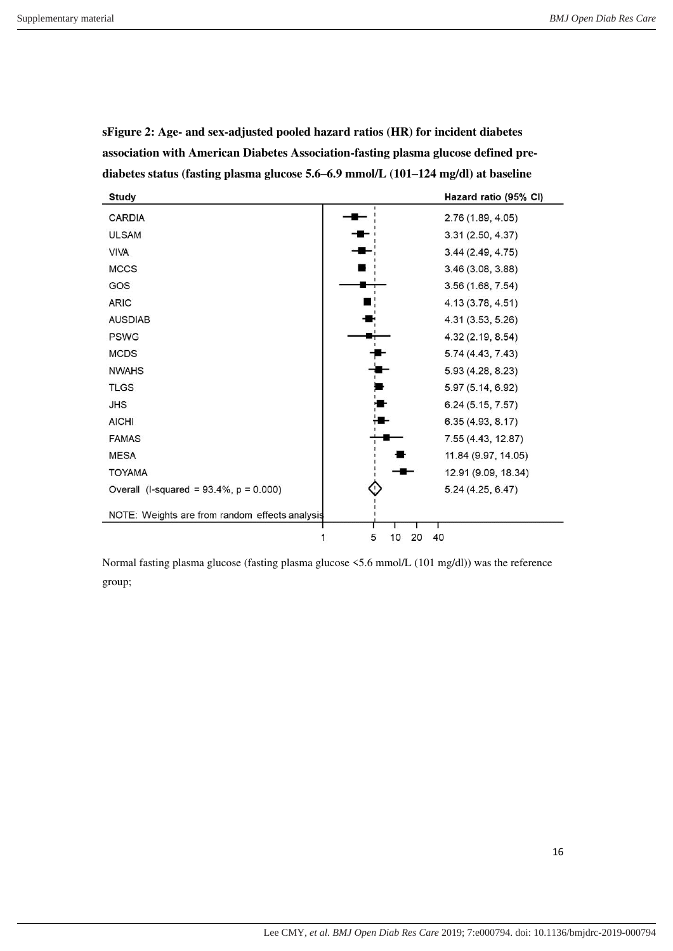| <b>Study</b>                                   |                     | Hazard ratio (95% CI) |
|------------------------------------------------|---------------------|-----------------------|
| <b>CARDIA</b>                                  |                     | 2.76 (1.89, 4.05)     |
| <b>ULSAM</b>                                   |                     | 3.31 (2.50, 4.37)     |
| <b>VIVA</b>                                    |                     | 3.44(2.49, 4.75)      |
| <b>MCCS</b>                                    |                     | 3.46(3.08, 3.88)      |
| GOS                                            |                     | 3.56 (1.68, 7.54)     |
| <b>ARIC</b>                                    |                     | 4.13 (3.78, 4.51)     |
| <b>AUSDIAB</b>                                 |                     | 4.31 (3.53, 5.26)     |
| <b>PSWG</b>                                    |                     | 4.32 (2.19, 8.54)     |
| <b>MCDS</b>                                    |                     | 5.74 (4.43, 7.43)     |
| <b>NWAHS</b>                                   |                     | 5.93 (4.28, 8.23)     |
| <b>TLGS</b>                                    |                     | 5.97 (5.14, 6.92)     |
| <b>JHS</b>                                     |                     | 6.24 (5.15, 7.57)     |
| <b>AICHI</b>                                   |                     | 6.35(4.93, 8.17)      |
| <b>FAMAS</b>                                   |                     | 7.55 (4.43, 12.87)    |
| <b>MESA</b>                                    |                     | 11.84 (9.97, 14.05)   |
| <b>TOYAMA</b>                                  |                     | 12.91 (9.09, 18.34)   |
| Overall (I-squared = $93.4\%$ , $p = 0.000$ )  |                     | 5.24 (4.25, 6.47)     |
| NOTE: Weights are from random effects analysis |                     |                       |
|                                                | 40<br>5<br>20<br>10 |                       |

**sFigure 2: Age- and sex-adjusted pooled hazard ratios (HR) for incident diabetes association with American Diabetes Association-fasting plasma glucose defined prediabetes status (fasting plasma glucose 5.6–6.9 mmol/L (101–124 mg/dl) at baseline** 

Normal fasting plasma glucose (fasting plasma glucose <5.6 mmol/L (101 mg/dl)) was the reference group;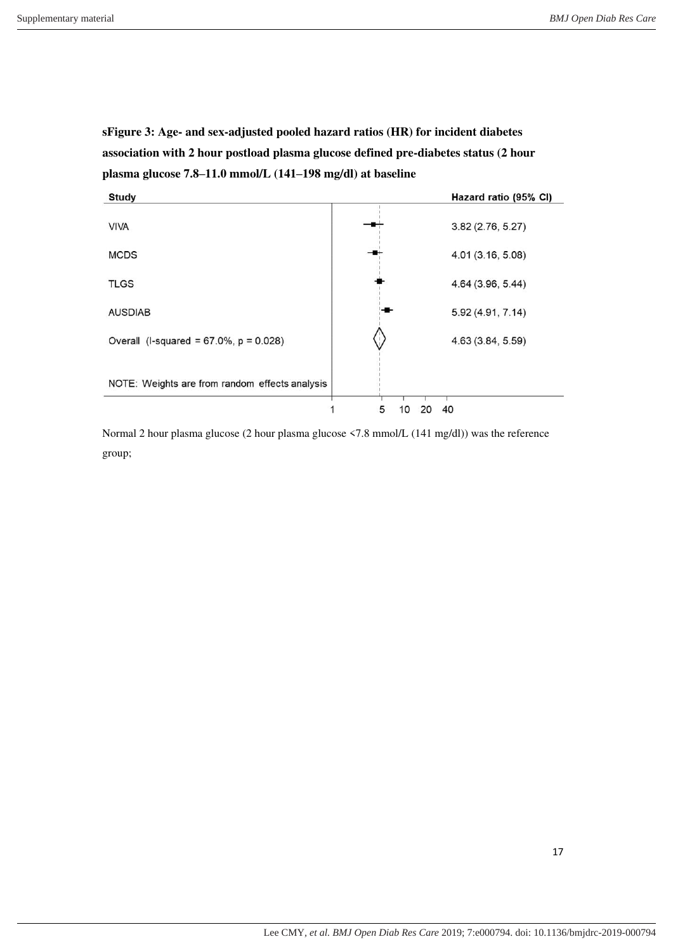**sFigure 3: Age- and sex-adjusted pooled hazard ratios (HR) for incident diabetes association with 2 hour postload plasma glucose defined pre-diabetes status (2 hour plasma glucose 7.8–11.0 mmol/L (141–198 mg/dl) at baseline** 



Normal 2 hour plasma glucose (2 hour plasma glucose <7.8 mmol/L (141 mg/dl)) was the reference group;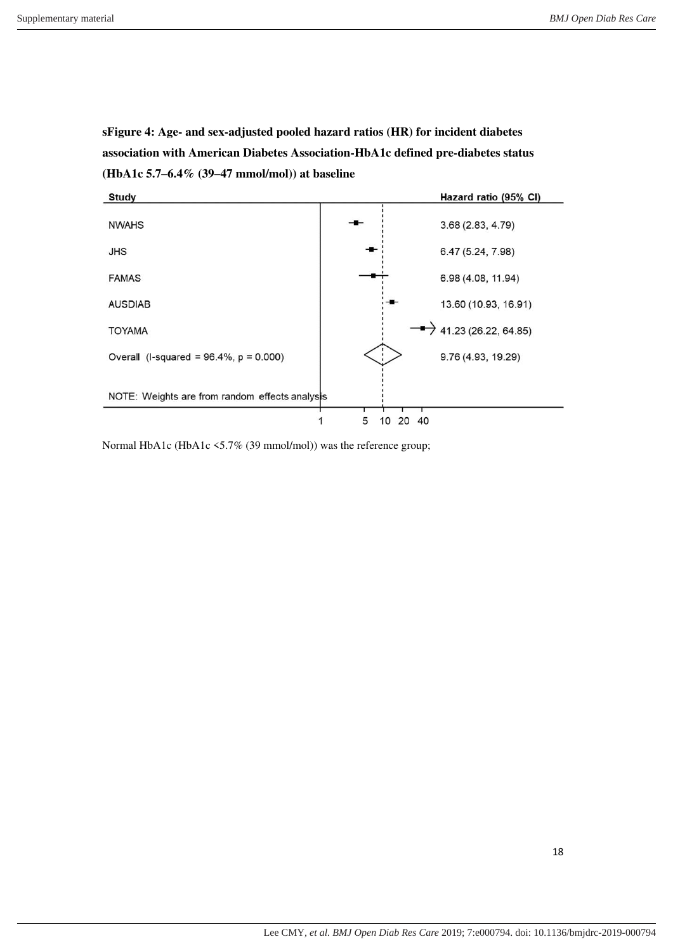**sFigure 4: Age- and sex-adjusted pooled hazard ratios (HR) for incident diabetes association with American Diabetes Association-HbA1c defined pre-diabetes status (HbA1c 5.7–6.4% (39–47 mmol/mol)) at baseline** 



Normal HbA1c (HbA1c <5.7% (39 mmol/mol)) was the reference group;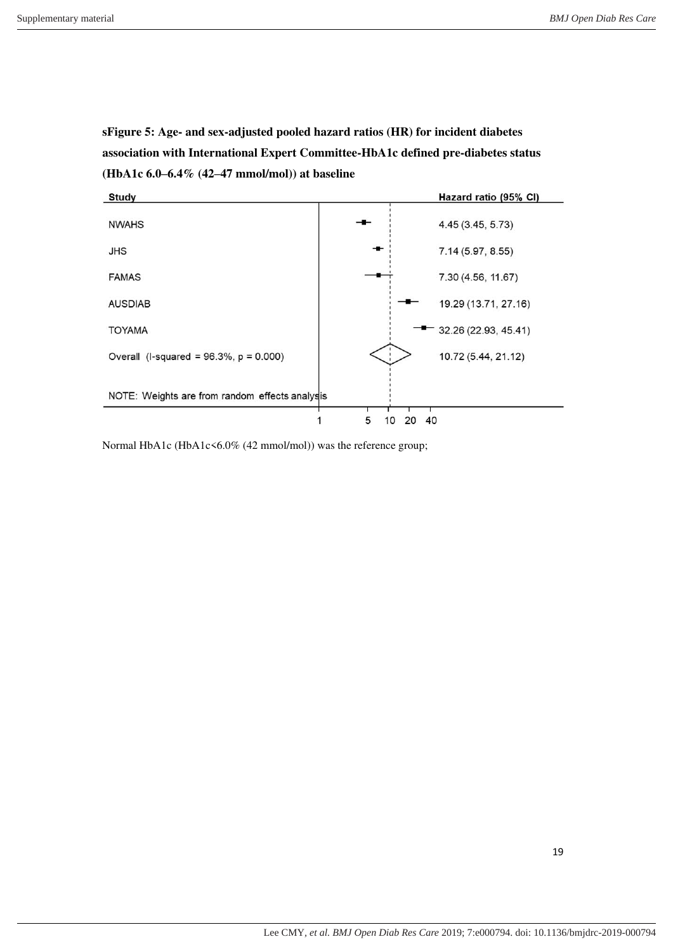**sFigure 5: Age- and sex-adjusted pooled hazard ratios (HR) for incident diabetes association with International Expert Committee-HbA1c defined pre-diabetes status (HbA1c 6.0–6.4% (42–47 mmol/mol)) at baseline** 



Normal HbA1c (HbA1c<6.0% (42 mmol/mol)) was the reference group;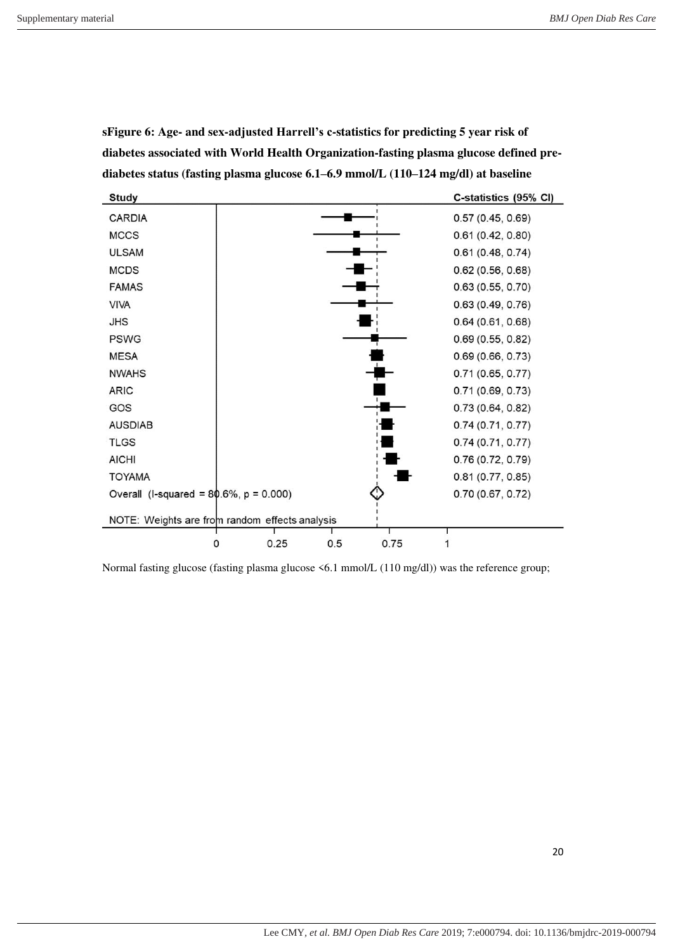| <b>Study</b>                                   |  |      |     |      | C-statistics (95% CI) |
|------------------------------------------------|--|------|-----|------|-----------------------|
| <b>CARDIA</b>                                  |  |      |     |      | 0.57(0.45, 0.69)      |
| <b>MCCS</b>                                    |  |      |     |      | 0.61(0.42, 0.80)      |
| <b>ULSAM</b>                                   |  |      |     |      | 0.61(0.48, 0.74)      |
| <b>MCDS</b>                                    |  |      |     |      | 0.62(0.56, 0.68)      |
| <b>FAMAS</b>                                   |  |      |     |      | 0.63(0.55, 0.70)      |
| <b>VIVA</b>                                    |  |      |     |      | 0.63(0.49, 0.76)      |
| <b>JHS</b>                                     |  |      |     |      | 0.64(0.61, 0.68)      |
| <b>PSWG</b>                                    |  |      |     |      | 0.69(0.55, 0.82)      |
| <b>MESA</b>                                    |  |      |     |      | 0.69(0.66, 0.73)      |
| <b>NWAHS</b>                                   |  |      |     |      | 0.71(0.65, 0.77)      |
| <b>ARIC</b>                                    |  |      |     |      | 0.71(0.69, 0.73)      |
| GOS                                            |  |      |     |      | 0.73(0.64, 0.82)      |
| <b>AUSDIAB</b>                                 |  |      |     |      | 0.74(0.71, 0.77)      |
| <b>TLGS</b>                                    |  |      |     |      | 0.74(0.71, 0.77)      |
| <b>AICHI</b>                                   |  |      |     |      | 0.76(0.72, 0.79)      |
| <b>TOYAMA</b>                                  |  |      |     |      | 0.81(0.77, 0.85)      |
| Overall (I-squared = $80.6\%$ , $p = 0.000$ )  |  |      |     |      | 0.70(0.67, 0.72)      |
| NOTE: Weights are from random effects analysis |  |      |     |      |                       |
|                                                |  |      |     |      |                       |
|                                                |  | 0.25 | 0.5 | 0.75 |                       |

**sFigure 6: Age- and sex-adjusted Harrell's c-statistics for predicting 5 year risk of diabetes associated with World Health Organization-fasting plasma glucose defined prediabetes status (fasting plasma glucose 6.1–6.9 mmol/L (110–124 mg/dl) at baseline** 

Normal fasting glucose (fasting plasma glucose <6.1 mmol/L (110 mg/dl)) was the reference group;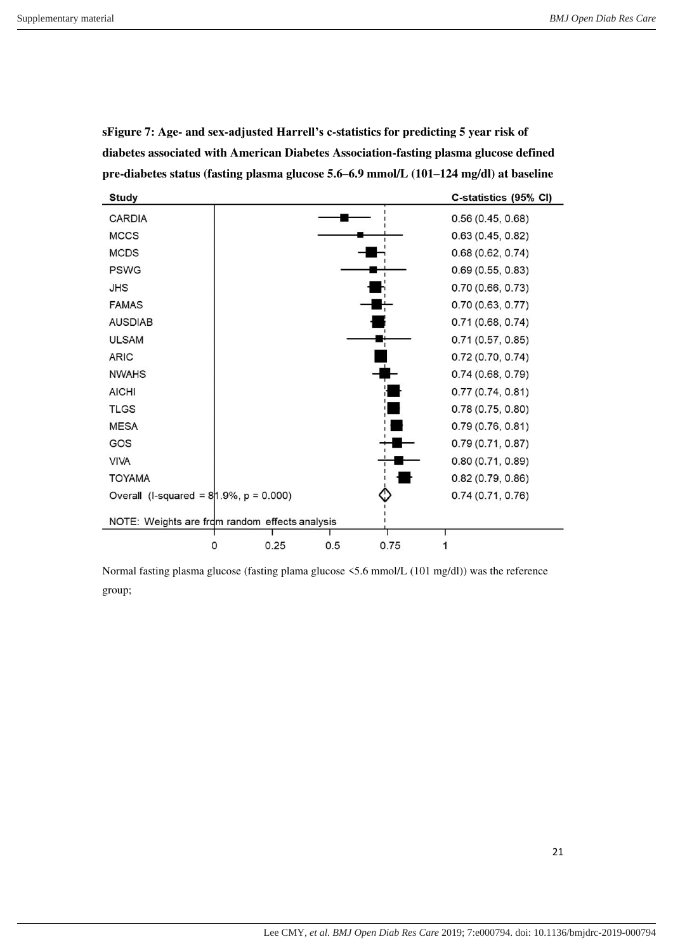| <b>Study</b>                                   |           |     |      | C-statistics (95% CI) |  |
|------------------------------------------------|-----------|-----|------|-----------------------|--|
| <b>CARDIA</b>                                  |           |     |      | 0.56(0.45, 0.68)      |  |
| <b>MCCS</b>                                    |           |     |      | 0.63(0.45, 0.82)      |  |
| <b>MCDS</b>                                    |           |     |      | 0.68(0.62, 0.74)      |  |
| <b>PSWG</b>                                    |           |     |      | 0.69(0.55, 0.83)      |  |
| <b>JHS</b>                                     |           |     |      | 0.70(0.66, 0.73)      |  |
| <b>FAMAS</b>                                   |           |     |      | 0.70(0.63, 0.77)      |  |
| <b>AUSDIAB</b>                                 |           |     |      | 0.71(0.68, 0.74)      |  |
| <b>ULSAM</b>                                   |           |     |      | 0.71(0.57, 0.85)      |  |
| <b>ARIC</b>                                    |           |     |      | 0.72(0.70, 0.74)      |  |
| <b>NWAHS</b>                                   |           |     |      | 0.74(0.68, 0.79)      |  |
| <b>AICHI</b>                                   |           |     |      | 0.77(0.74, 0.81)      |  |
| <b>TLGS</b>                                    |           |     |      | 0.78(0.75, 0.80)      |  |
| <b>MESA</b>                                    |           |     |      | 0.79(0.76, 0.81)      |  |
| GOS                                            |           |     |      | 0.79(0.71, 0.87)      |  |
| <b>VIVA</b>                                    |           |     |      | 0.80(0.71, 0.89)      |  |
| <b>TOYAMA</b>                                  |           |     |      | 0.82(0.79, 0.86)      |  |
| Overall (I-squared = $8/1.9%$ , p = 0.000)     |           |     |      | 0.74(0.71, 0.76)      |  |
| NOTE: Weights are from random effects analysis |           |     |      |                       |  |
|                                                | 0.25<br>0 | 0.5 | 0.75 |                       |  |
|                                                |           |     |      |                       |  |

**sFigure 7: Age- and sex-adjusted Harrell's c-statistics for predicting 5 year risk of diabetes associated with American Diabetes Association-fasting plasma glucose defined pre-diabetes status (fasting plasma glucose 5.6–6.9 mmol/L (101–124 mg/dl) at baseline** 

Normal fasting plasma glucose (fasting plama glucose <5.6 mmol/L (101 mg/dl)) was the reference group;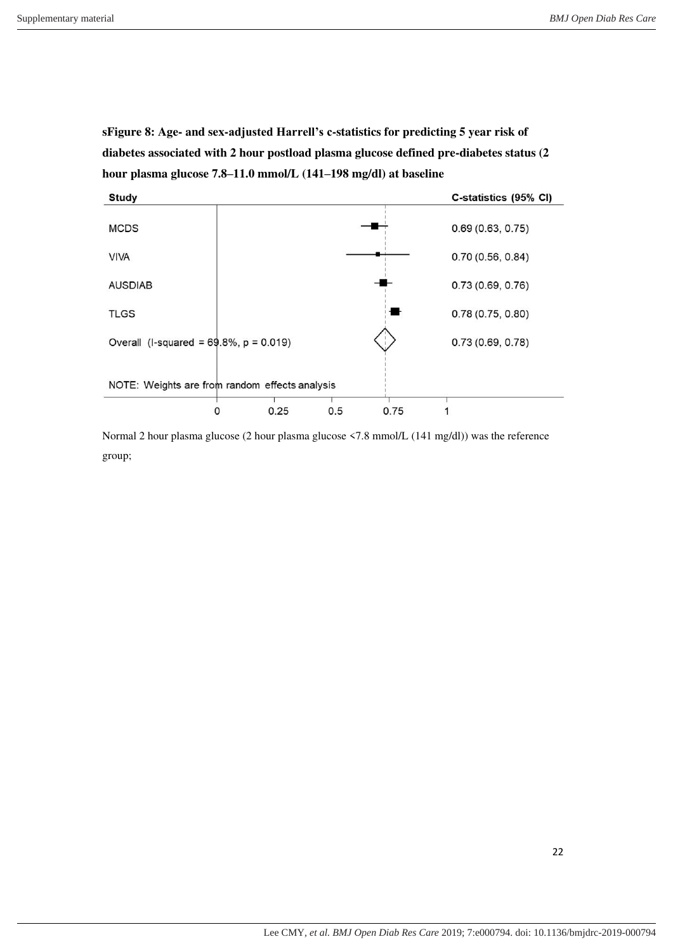**sFigure 8: Age- and sex-adjusted Harrell's c-statistics for predicting 5 year risk of diabetes associated with 2 hour postload plasma glucose defined pre-diabetes status (2 hour plasma glucose 7.8–11.0 mmol/L (141–198 mg/dl) at baseline** 



Normal 2 hour plasma glucose (2 hour plasma glucose <7.8 mmol/L (141 mg/dl)) was the reference group;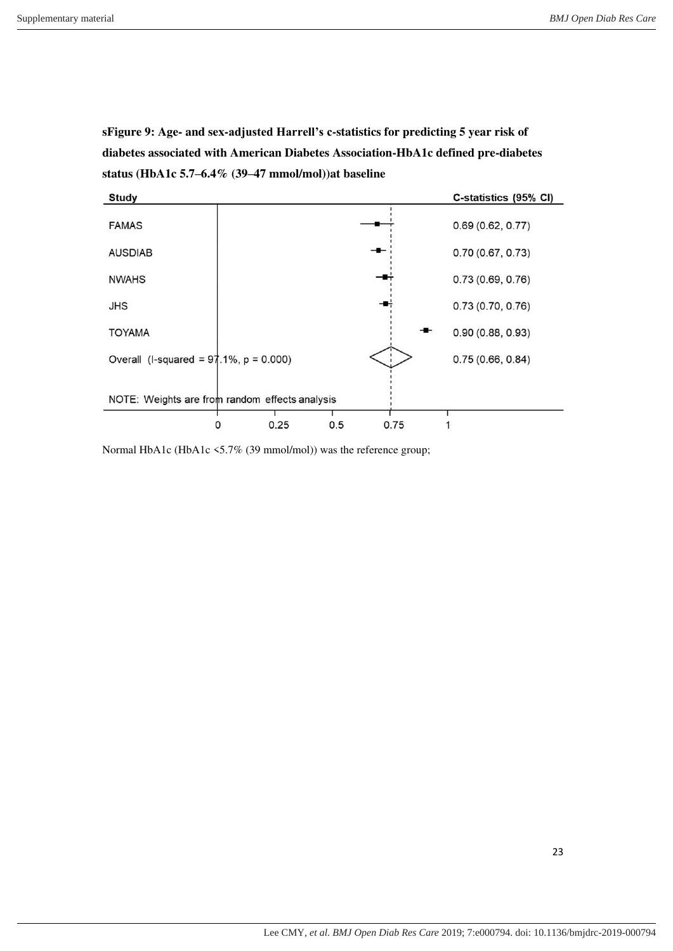**sFigure 9: Age- and sex-adjusted Harrell's c-statistics for predicting 5 year risk of diabetes associated with American Diabetes Association-HbA1c defined pre-diabetes status (HbA1c 5.7–6.4% (39–47 mmol/mol))at baseline** 



Normal HbA1c (HbA1c <5.7% (39 mmol/mol)) was the reference group;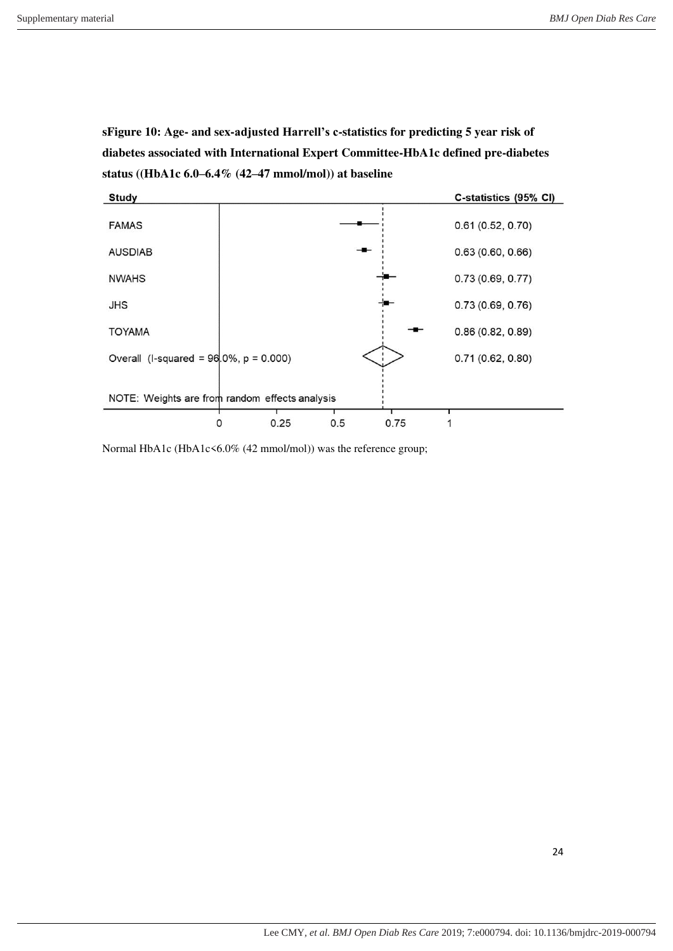**sFigure 10: Age- and sex-adjusted Harrell's c-statistics for predicting 5 year risk of diabetes associated with International Expert Committee-HbA1c defined pre-diabetes status ((HbA1c 6.0–6.4% (42–47 mmol/mol)) at baseline** 



Normal HbA1c (HbA1c<6.0% (42 mmol/mol)) was the reference group;